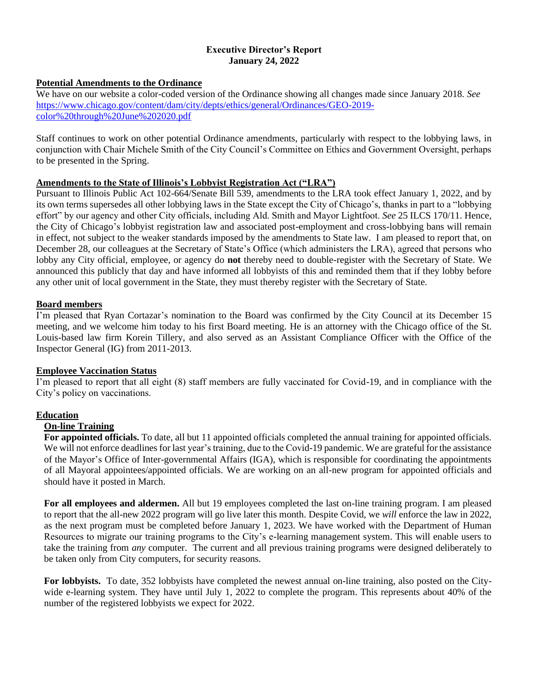#### **Executive Director's Report January 24, 2022**

### **Potential Amendments to the Ordinance**

We have on our website a color-coded version of the Ordinance showing all changes made since January 2018. *See* [https://www.chicago.gov/content/dam/city/depts/ethics/general/Ordinances/GEO-2019](https://www.chicago.gov/content/dam/city/depts/ethics/general/Ordinances/GEO-2019-color%20through%20June%202020.pdf) [color%20through%20June%202020.pdf](https://www.chicago.gov/content/dam/city/depts/ethics/general/Ordinances/GEO-2019-color%20through%20June%202020.pdf)

Staff continues to work on other potential Ordinance amendments, particularly with respect to the lobbying laws, in conjunction with Chair Michele Smith of the City Council's Committee on Ethics and Government Oversight, perhaps to be presented in the Spring.

## **Amendments to the State of Illinois's Lobbyist Registration Act ("LRA")**

Pursuant to Illinois Public Act 102-664/Senate Bill 539, amendments to the LRA took effect January 1, 2022, and by its own terms supersedes all other lobbying laws in the State except the City of Chicago's, thanks in part to a "lobbying effort" by our agency and other City officials, including Ald. Smith and Mayor Lightfoot. *See* 25 ILCS 170/11. Hence, the City of Chicago's lobbyist registration law and associated post-employment and cross-lobbying bans will remain in effect, not subject to the weaker standards imposed by the amendments to State law. I am pleased to report that, on December 28, our colleagues at the Secretary of State's Office (which administers the LRA), agreed that persons who lobby any City official, employee, or agency do **not** thereby need to double-register with the Secretary of State. We announced this publicly that day and have informed all lobbyists of this and reminded them that if they lobby before any other unit of local government in the State, they must thereby register with the Secretary of State.

### **Board members**

I'm pleased that Ryan Cortazar's nomination to the Board was confirmed by the City Council at its December 15 meeting, and we welcome him today to his first Board meeting. He is an attorney with the Chicago office of the St. Louis-based law firm Korein Tillery, and also served as an Assistant Compliance Officer with the Office of the Inspector General (IG) from 2011-2013.

## **Employee Vaccination Status**

I'm pleased to report that all eight (8) staff members are fully vaccinated for Covid-19, and in compliance with the City's policy on vaccinations.

## **Education**

#### **On-line Training**

**For appointed officials.** To date, all but 11 appointed officials completed the annual training for appointed officials. We will not enforce deadlines for last year's training, due to the Covid-19 pandemic. We are grateful for the assistance of the Mayor's Office of Inter-governmental Affairs (IGA), which is responsible for coordinating the appointments of all Mayoral appointees/appointed officials. We are working on an all-new program for appointed officials and should have it posted in March.

**For all employees and aldermen.** All but 19 employees completed the last on-line training program. I am pleased to report that the all-new 2022 program will go live later this month. Despite Covid, we *will* enforce the law in 2022, as the next program must be completed before January 1, 2023. We have worked with the Department of Human Resources to migrate our training programs to the City's e-learning management system. This will enable users to take the training from *any* computer. The current and all previous training programs were designed deliberately to be taken only from City computers, for security reasons.

**For lobbyists.** To date, 352 lobbyists have completed the newest annual on-line training, also posted on the Citywide e-learning system. They have until July 1, 2022 to complete the program. This represents about 40% of the number of the registered lobbyists we expect for 2022.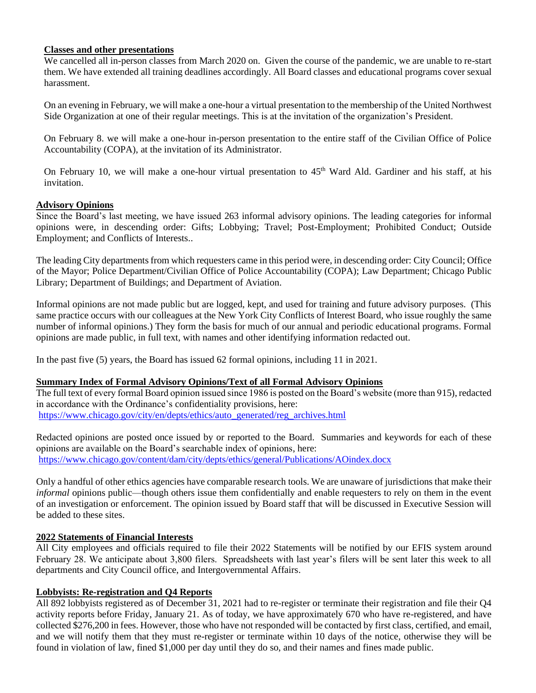### **Classes and other presentations**

We cancelled all in-person classes from March 2020 on. Given the course of the pandemic, we are unable to re-start them. We have extended all training deadlines accordingly. All Board classes and educational programs cover sexual harassment.

On an evening in February, we will make a one-hour a virtual presentation to the membership of the United Northwest Side Organization at one of their regular meetings. This is at the invitation of the organization's President.

On February 8. we will make a one-hour in-person presentation to the entire staff of the Civilian Office of Police Accountability (COPA), at the invitation of its Administrator.

On February 10, we will make a one-hour virtual presentation to  $45<sup>th</sup>$  Ward Ald. Gardiner and his staff, at his invitation.

## **Advisory Opinions**

Since the Board's last meeting, we have issued 263 informal advisory opinions. The leading categories for informal opinions were, in descending order: Gifts; Lobbying; Travel; Post-Employment; Prohibited Conduct; Outside Employment; and Conflicts of Interests..

The leading City departments from which requesters came in this period were, in descending order: City Council; Office of the Mayor; Police Department/Civilian Office of Police Accountability (COPA); Law Department; Chicago Public Library; Department of Buildings; and Department of Aviation.

Informal opinions are not made public but are logged, kept, and used for training and future advisory purposes. (This same practice occurs with our colleagues at the New York City Conflicts of Interest Board, who issue roughly the same number of informal opinions.) They form the basis for much of our annual and periodic educational programs. Formal opinions are made public, in full text, with names and other identifying information redacted out.

In the past five (5) years, the Board has issued 62 formal opinions, including 11 in 2021.

## **Summary Index of Formal Advisory Opinions/Text of all Formal Advisory Opinions**

The full text of every formal Board opinion issued since 1986 is posted on the Board's website (more than 915), redacted in accordance with the Ordinance's confidentiality provisions, here: [https://www.chicago.gov/city/en/depts/ethics/auto\\_generated/reg\\_archives.html](https://www.chicago.gov/city/en/depts/ethics/auto_generated/reg_archives.html)

Redacted opinions are posted once issued by or reported to the Board. Summaries and keywords for each of these opinions are available on the Board's searchable index of opinions, here: <https://www.chicago.gov/content/dam/city/depts/ethics/general/Publications/AOindex.docx>

Only a handful of other ethics agencies have comparable research tools. We are unaware of jurisdictions that make their *informal* opinions public—though others issue them confidentially and enable requesters to rely on them in the event of an investigation or enforcement. The opinion issued by Board staff that will be discussed in Executive Session will be added to these sites.

## **2022 Statements of Financial Interests**

All City employees and officials required to file their 2022 Statements will be notified by our EFIS system around February 28. We anticipate about 3,800 filers. Spreadsheets with last year's filers will be sent later this week to all departments and City Council office, and Intergovernmental Affairs.

## **Lobbyists: Re-registration and Q4 Reports**

All 892 lobbyists registered as of December 31, 2021 had to re-register or terminate their registration and file their Q4 activity reports before Friday, January 21. As of today, we have approximately 670 who have re-registered, and have collected \$276,200 in fees. However, those who have not responded will be contacted by first class, certified, and email, and we will notify them that they must re-register or terminate within 10 days of the notice, otherwise they will be found in violation of law, fined \$1,000 per day until they do so, and their names and fines made public.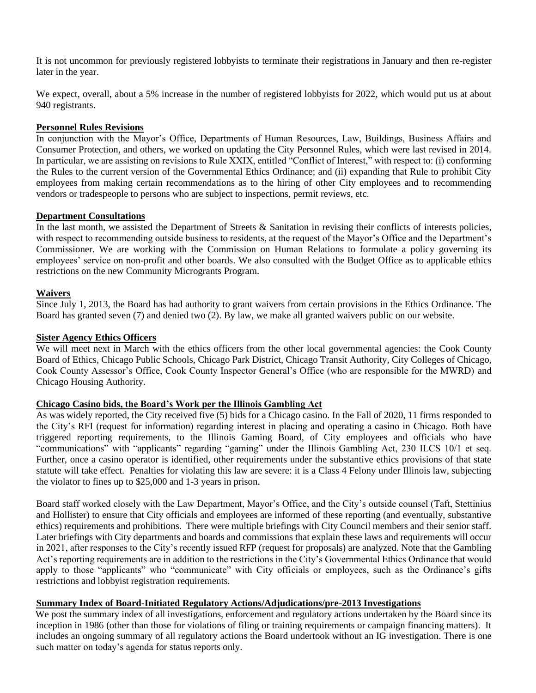It is not uncommon for previously registered lobbyists to terminate their registrations in January and then re-register later in the year.

We expect, overall, about a 5% increase in the number of registered lobbyists for 2022, which would put us at about 940 registrants.

## **Personnel Rules Revisions**

In conjunction with the Mayor's Office, Departments of Human Resources, Law, Buildings, Business Affairs and Consumer Protection, and others, we worked on updating the City Personnel Rules, which were last revised in 2014. In particular, we are assisting on revisions to Rule XXIX, entitled "Conflict of Interest," with respect to: (i) conforming the Rules to the current version of the Governmental Ethics Ordinance; and (ii) expanding that Rule to prohibit City employees from making certain recommendations as to the hiring of other City employees and to recommending vendors or tradespeople to persons who are subject to inspections, permit reviews, etc.

#### **Department Consultations**

In the last month, we assisted the Department of Streets & Sanitation in revising their conflicts of interests policies, with respect to recommending outside business to residents, at the request of the Mayor's Office and the Department's Commissioner. We are working with the Commission on Human Relations to formulate a policy governing its employees' service on non-profit and other boards. We also consulted with the Budget Office as to applicable ethics restrictions on the new Community Microgrants Program.

## **Waivers**

Since July 1, 2013, the Board has had authority to grant waivers from certain provisions in the Ethics Ordinance. The Board has granted seven (7) and denied two (2). By law, we make all granted waivers public on our website.

## **Sister Agency Ethics Officers**

We will meet next in March with the ethics officers from the other local governmental agencies: the Cook County Board of Ethics, Chicago Public Schools, Chicago Park District, Chicago Transit Authority, City Colleges of Chicago, Cook County Assessor's Office, Cook County Inspector General's Office (who are responsible for the MWRD) and Chicago Housing Authority.

# **Chicago Casino bids, the Board's Work per the Illinois Gambling Act**

As was widely reported, the City received five (5) bids for a Chicago casino. In the Fall of 2020, 11 firms responded to the City's RFI (request for information) regarding interest in placing and operating a casino in Chicago. Both have triggered reporting requirements, to the Illinois Gaming Board, of City employees and officials who have "communications" with "applicants" regarding "gaming" under the Illinois Gambling Act, 230 ILCS 10/1 et seq. Further, once a casino operator is identified, other requirements under the substantive ethics provisions of that state statute will take effect. Penalties for violating this law are severe: it is a Class 4 Felony under Illinois law, subjecting the violator to fines up to \$25,000 and 1-3 years in prison.

Board staff worked closely with the Law Department, Mayor's Office, and the City's outside counsel (Taft, Stettinius and Hollister) to ensure that City officials and employees are informed of these reporting (and eventually, substantive ethics) requirements and prohibitions. There were multiple briefings with City Council members and their senior staff. Later briefings with City departments and boards and commissions that explain these laws and requirements will occur in 2021, after responses to the City's recently issued RFP (request for proposals) are analyzed. Note that the Gambling Act's reporting requirements are in addition to the restrictions in the City's Governmental Ethics Ordinance that would apply to those "applicants" who "communicate" with City officials or employees, such as the Ordinance's gifts restrictions and lobbyist registration requirements.

### **Summary Index of Board-Initiated Regulatory Actions/Adjudications/pre-2013 Investigations**

We post the summary index of all investigations, enforcement and regulatory actions undertaken by the Board since its inception in 1986 (other than those for violations of filing or training requirements or campaign financing matters). It includes an ongoing summary of all regulatory actions the Board undertook without an IG investigation. There is one such matter on today's agenda for status reports only.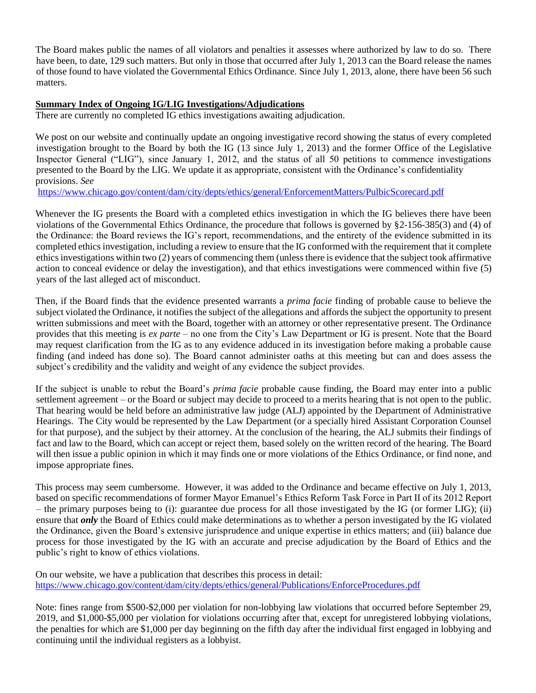The Board makes public the names of all violators and penalties it assesses where authorized by law to do so. There have been, to date, 129 such matters. But only in those that occurred after July 1, 2013 can the Board release the names of those found to have violated the Governmental Ethics Ordinance. Since July 1, 2013, alone, there have been 56 such matters.

## **Summary Index of Ongoing IG/LIG Investigations/Adjudications**

There are currently no completed IG ethics investigations awaiting adjudication.

We post on our website and continually update an ongoing investigative record showing the status of every completed investigation brought to the Board by both the IG (13 since July 1, 2013) and the former Office of the Legislative Inspector General ("LIG"), since January 1, 2012, and the status of all 50 petitions to commence investigations presented to the Board by the LIG. We update it as appropriate, consistent with the Ordinance's confidentiality provisions. *See*

<https://www.chicago.gov/content/dam/city/depts/ethics/general/EnforcementMatters/PulbicScorecard.pdf>

Whenever the IG presents the Board with a completed ethics investigation in which the IG believes there have been violations of the Governmental Ethics Ordinance, the procedure that follows is governed by §2-156-385(3) and (4) of the Ordinance: the Board reviews the IG's report, recommendations, and the entirety of the evidence submitted in its completed ethics investigation, including a review to ensure that the IG conformed with the requirement that it complete ethics investigations within two (2) years of commencing them (unless there is evidence that the subject took affirmative action to conceal evidence or delay the investigation), and that ethics investigations were commenced within five (5) years of the last alleged act of misconduct.

Then, if the Board finds that the evidence presented warrants a *prima facie* finding of probable cause to believe the subject violated the Ordinance, it notifies the subject of the allegations and affords the subject the opportunity to present written submissions and meet with the Board, together with an attorney or other representative present. The Ordinance provides that this meeting is *ex parte* – no one from the City's Law Department or IG is present. Note that the Board may request clarification from the IG as to any evidence adduced in its investigation before making a probable cause finding (and indeed has done so). The Board cannot administer oaths at this meeting but can and does assess the subject's credibility and the validity and weight of any evidence the subject provides.

If the subject is unable to rebut the Board's *prima facie* probable cause finding, the Board may enter into a public settlement agreement – or the Board or subject may decide to proceed to a merits hearing that is not open to the public. That hearing would be held before an administrative law judge (ALJ) appointed by the Department of Administrative Hearings. The City would be represented by the Law Department (or a specially hired Assistant Corporation Counsel for that purpose), and the subject by their attorney. At the conclusion of the hearing, the ALJ submits their findings of fact and law to the Board, which can accept or reject them, based solely on the written record of the hearing. The Board will then issue a public opinion in which it may finds one or more violations of the Ethics Ordinance, or find none, and impose appropriate fines.

This process may seem cumbersome. However, it was added to the Ordinance and became effective on July 1, 2013, based on specific recommendations of former Mayor Emanuel's Ethics Reform Task Force in Part II of its 2012 Report – the primary purposes being to (i): guarantee due process for all those investigated by the IG (or former LIG); (ii) ensure that *only* the Board of Ethics could make determinations as to whether a person investigated by the IG violated the Ordinance, given the Board's extensive jurisprudence and unique expertise in ethics matters; and (iii) balance due process for those investigated by the IG with an accurate and precise adjudication by the Board of Ethics and the public's right to know of ethics violations.

On our website, we have a publication that describes this process in detail: <https://www.chicago.gov/content/dam/city/depts/ethics/general/Publications/EnforceProcedures.pdf>

Note: fines range from \$500-\$2,000 per violation for non-lobbying law violations that occurred before September 29, 2019, and \$1,000-\$5,000 per violation for violations occurring after that, except for unregistered lobbying violations, the penalties for which are \$1,000 per day beginning on the fifth day after the individual first engaged in lobbying and continuing until the individual registers as a lobbyist.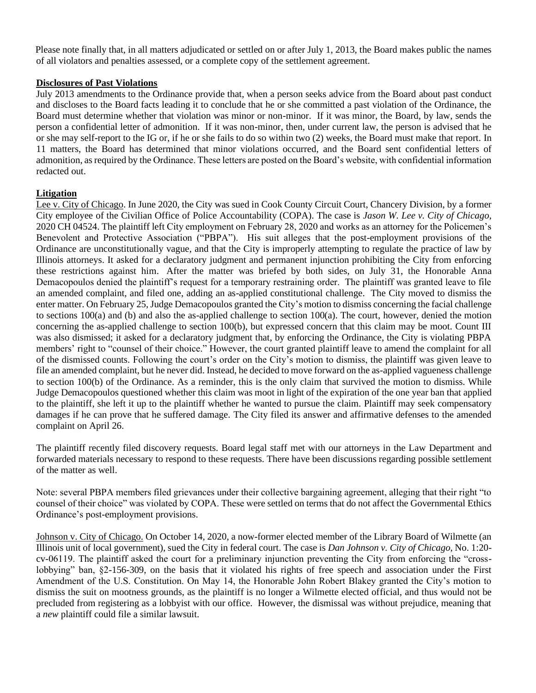Please note finally that, in all matters adjudicated or settled on or after July 1, 2013, the Board makes public the names of all violators and penalties assessed, or a complete copy of the settlement agreement.

### **Disclosures of Past Violations**

July 2013 amendments to the Ordinance provide that, when a person seeks advice from the Board about past conduct and discloses to the Board facts leading it to conclude that he or she committed a past violation of the Ordinance, the Board must determine whether that violation was minor or non-minor. If it was minor, the Board, by law, sends the person a confidential letter of admonition. If it was non-minor, then, under current law, the person is advised that he or she may self-report to the IG or, if he or she fails to do so within two (2) weeks, the Board must make that report. In 11 matters, the Board has determined that minor violations occurred, and the Board sent confidential letters of admonition, as required by the Ordinance. These letters are posted on the Board's website, with confidential information redacted out.

## **Litigation**

Lee v. City of Chicago. In June 2020, the City was sued in Cook County Circuit Court, Chancery Division, by a former City employee of the Civilian Office of Police Accountability (COPA). The case is *Jason W. Lee v. City of Chicago*, 2020 CH 04524. The plaintiff left City employment on February 28, 2020 and works as an attorney for the Policemen's Benevolent and Protective Association ("PBPA"). His suit alleges that the post-employment provisions of the Ordinance are unconstitutionally vague, and that the City is improperly attempting to regulate the practice of law by Illinois attorneys. It asked for a declaratory judgment and permanent injunction prohibiting the City from enforcing these restrictions against him. After the matter was briefed by both sides, on July 31, the Honorable Anna Demacopoulos denied the plaintiff's request for a temporary restraining order. The plaintiff was granted leave to file an amended complaint, and filed one, adding an as-applied constitutional challenge. The City moved to dismiss the enter matter. On February 25, Judge Demacopoulos granted the City's motion to dismiss concerning the facial challenge to sections 100(a) and (b) and also the as-applied challenge to section 100(a). The court, however, denied the motion concerning the as-applied challenge to section 100(b), but expressed concern that this claim may be moot. Count III was also dismissed; it asked for a declaratory judgment that, by enforcing the Ordinance, the City is violating PBPA members' right to "counsel of their choice." However, the court granted plaintiff leave to amend the complaint for all of the dismissed counts. Following the court's order on the City's motion to dismiss, the plaintiff was given leave to file an amended complaint, but he never did. Instead, he decided to move forward on the as-applied vagueness challenge to section 100(b) of the Ordinance. As a reminder, this is the only claim that survived the motion to dismiss. While Judge Demacopoulos questioned whether this claim was moot in light of the expiration of the one year ban that applied to the plaintiff, she left it up to the plaintiff whether he wanted to pursue the claim. Plaintiff may seek compensatory damages if he can prove that he suffered damage. The City filed its answer and affirmative defenses to the amended complaint on April 26.

The plaintiff recently filed discovery requests. Board legal staff met with our attorneys in the Law Department and forwarded materials necessary to respond to these requests. There have been discussions regarding possible settlement of the matter as well.

Note: several PBPA members filed grievances under their collective bargaining agreement, alleging that their right "to counsel of their choice" was violated by COPA. These were settled on terms that do not affect the Governmental Ethics Ordinance's post-employment provisions.

Johnson v. City of Chicago. On October 14, 2020, a now-former elected member of the Library Board of Wilmette (an Illinois unit of local government), sued the City in federal court. The case is *Dan Johnson v. City of Chicago*, No. 1:20 cv-06119. The plaintiff asked the court for a preliminary injunction preventing the City from enforcing the "crosslobbying" ban, §2-156-309, on the basis that it violated his rights of free speech and association under the First Amendment of the U.S. Constitution. On May 14, the Honorable John Robert Blakey granted the City's motion to dismiss the suit on mootness grounds, as the plaintiff is no longer a Wilmette elected official, and thus would not be precluded from registering as a lobbyist with our office. However, the dismissal was without prejudice, meaning that a *new* plaintiff could file a similar lawsuit.